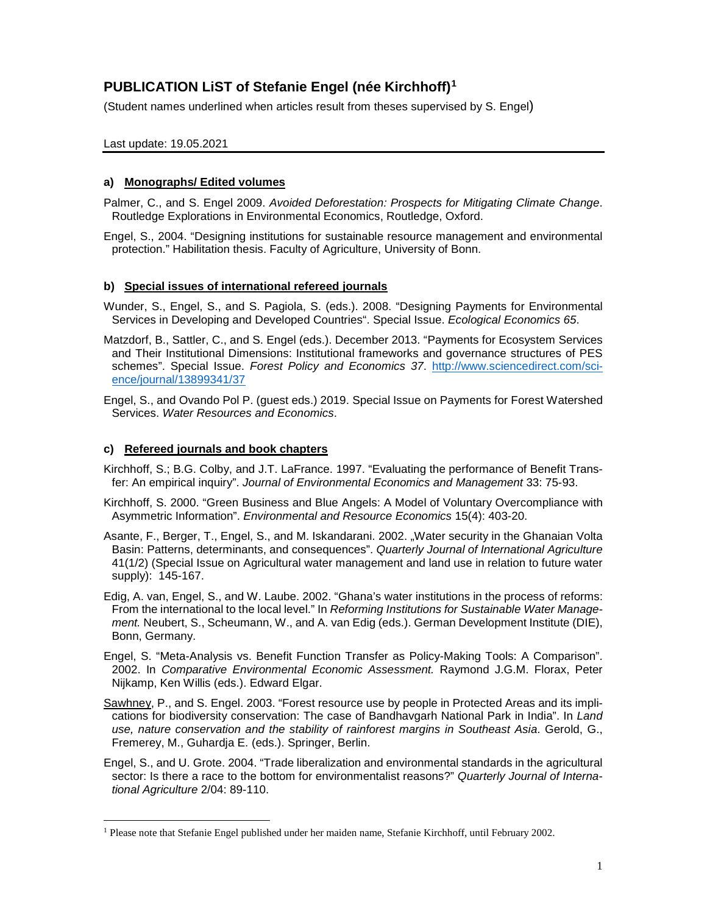# **PUBLICATION LiST of Stefanie Engel (née Kirchhoff)[1](#page-0-0)**

(Student names underlined when articles result from theses supervised by S. Engel)

# Last update: 19.05.2021

# **a) Monographs/ Edited volumes**

Palmer, C., and S. Engel 2009. *Avoided Deforestation: Prospects for Mitigating Climate Change*. Routledge Explorations in Environmental Economics, Routledge, Oxford.

Engel, S., 2004. "Designing institutions for sustainable resource management and environmental protection." Habilitation thesis. Faculty of Agriculture, University of Bonn.

### **b) Special issues of international refereed journals**

- Wunder, S., Engel, S., and S. Pagiola, S. (eds.). 2008. "Designing Payments for Environmental Services in Developing and Developed Countries". Special Issue. *Ecological Economics 65*.
- Matzdorf, B., Sattler, C., and S. Engel (eds.). December 2013. "Payments for Ecosystem Services and Their Institutional Dimensions: Institutional frameworks and governance structures of PES schemes". Special Issue. *Forest Policy and Economics 37*. [http://www.sciencedirect.com/sci](http://www.sciencedirect.com/science/journal/13899341/37)[ence/journal/13899341/37](http://www.sciencedirect.com/science/journal/13899341/37)
- Engel, S., and Ovando Pol P. (guest eds.) 2019. Special Issue on Payments for Forest Watershed Services. *Water Resources and Economics*.

### **c) Refereed journals and book chapters**

 $\overline{a}$ 

- Kirchhoff, S.; B.G. Colby, and J.T. LaFrance. 1997. "Evaluating the performance of Benefit Transfer: An empirical inquiry". *Journal of Environmental Economics and Management* 33: 75-93.
- Kirchhoff, S. 2000. "Green Business and Blue Angels: A Model of Voluntary Overcompliance with Asymmetric Information". *Environmental and Resource Economics* 15(4): 403-20.
- Asante, F., Berger, T., Engel, S., and M. Iskandarani. 2002. "Water security in the Ghanaian Volta Basin: Patterns, determinants, and consequences". *Quarterly Journal of International Agriculture*  41(1/2) (Special Issue on Agricultural water management and land use in relation to future water supply): 145-167.
- Edig, A. van, Engel, S., and W. Laube. 2002. "Ghana's water institutions in the process of reforms: From the international to the local level." In *Reforming Institutions for Sustainable Water Management.* Neubert, S., Scheumann, W., and A. van Edig (eds.). German Development Institute (DIE), Bonn, Germany.
- Engel, S. "Meta-Analysis vs. Benefit Function Transfer as Policy-Making Tools: A Comparison". 2002. In *Comparative Environmental Economic Assessment.* Raymond J.G.M. Florax, Peter Nijkamp, Ken Willis (eds.). Edward Elgar.
- Sawhney, P., and S. Engel. 2003. "Forest resource use by people in Protected Areas and its implications for biodiversity conservation: The case of Bandhavgarh National Park in India". In *Land use, nature conservation and the stability of rainforest margins in Southeast Asia*. Gerold, G., Fremerey, M., Guhardja E. (eds.). Springer, Berlin.
- Engel, S., and U. Grote. 2004. "Trade liberalization and environmental standards in the agricultural sector: Is there a race to the bottom for environmentalist reasons?" *Quarterly Journal of International Agriculture* 2/04: 89-110.

<span id="page-0-0"></span><sup>1</sup> Please note that Stefanie Engel published under her maiden name, Stefanie Kirchhoff, until February 2002.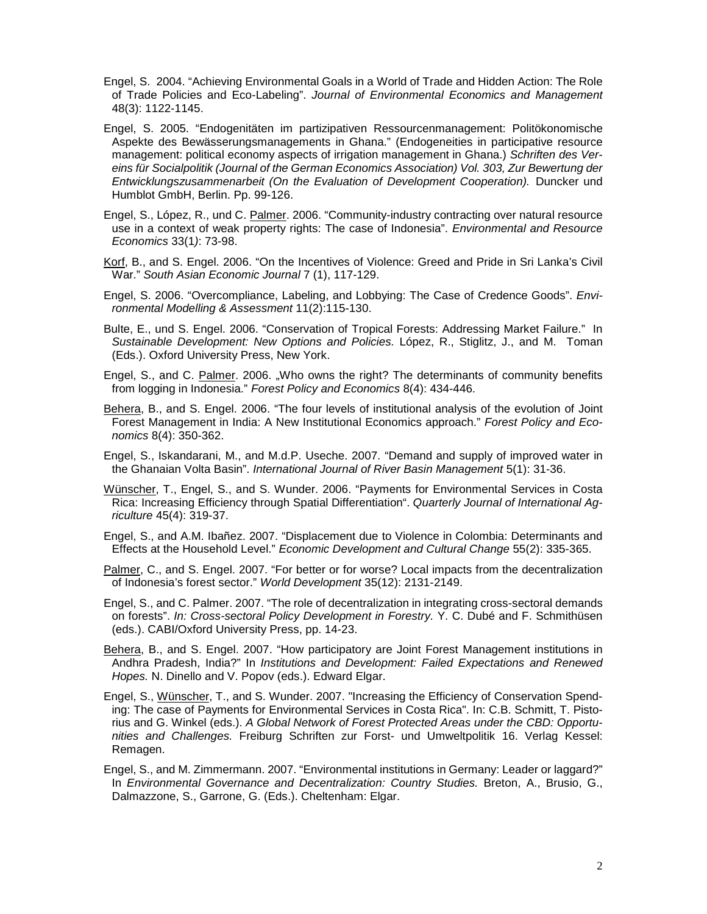- Engel, S. 2004. "Achieving Environmental Goals in a World of Trade and Hidden Action: The Role of Trade Policies and Eco-Labeling". *Journal of Environmental Economics and Management*  48(3): 1122-1145.
- Engel, S. 2005. "Endogenitäten im partizipativen Ressourcenmanagement: Politökonomische Aspekte des Bewässerungsmanagements in Ghana." (Endogeneities in participative resource management: political economy aspects of irrigation management in Ghana.) *Schriften des Vereins für Socialpolitik (Journal of the German Economics Association) Vol. 303, Zur Bewertung der Entwicklungszusammenarbeit (On the Evaluation of Development Cooperation).* Duncker und Humblot GmbH, Berlin. Pp. 99-126.
- Engel, S., López, R., und C. Palmer. 2006. "Community-industry contracting over natural resource use in a context of weak property rights: The case of Indonesia". *Environmental and Resource Economics* 33(1*)*: 73-98.
- Korf, B., and S. Engel. 2006. "On the Incentives of Violence: Greed and Pride in Sri Lanka's Civil War." *South Asian Economic Journal* 7 (1), 117-129.
- Engel, S. 2006. "Overcompliance, Labeling, and Lobbying: The Case of Credence Goods". *Environmental Modelling & Assessment* 11(2):115-130.
- Bulte, E., und S. Engel. 2006. "Conservation of Tropical Forests: Addressing Market Failure." In *Sustainable Development: New Options and Policies.* López, R., Stiglitz, J., and M. Toman (Eds.). Oxford University Press, New York.
- Engel, S., and C. Palmer. 2006. "Who owns the right? The determinants of community benefits from logging in Indonesia." *Forest Policy and Economics* 8(4): 434-446.
- Behera, B., and S. Engel. 2006. "The four levels of institutional analysis of the evolution of Joint Forest Management in India: A New Institutional Economics approach." *Forest Policy and Economics* 8(4): 350-362.
- Engel, S., Iskandarani, M., and M.d.P. Useche. 2007. "Demand and supply of improved water in the Ghanaian Volta Basin". *International Journal of River Basin Management* 5(1): 31-36.
- Wünscher, T., Engel, S., and S. Wunder. 2006. "Payments for Environmental Services in Costa Rica: Increasing Efficiency through Spatial Differentiation". *Quarterly Journal of International Agriculture* 45(4): 319-37.
- Engel, S., and A.M. Ibañez. 2007. "Displacement due to Violence in Colombia: Determinants and Effects at the Household Level." *Economic Development and Cultural Change* 55(2): 335-365.
- Palmer, C., and S. Engel. 2007. "For better or for worse? Local impacts from the decentralization of Indonesia's forest sector." *World Development* 35(12): 2131-2149.
- Engel, S., and C. Palmer. 2007. "The role of decentralization in integrating cross-sectoral demands on forests". *In: Cross-sectoral Policy Development in Forestry.* Y. C. Dubé and F. Schmithüsen (eds.). CABI/Oxford University Press, pp. 14-23.
- Behera, B., and S. Engel. 2007. "How participatory are Joint Forest Management institutions in Andhra Pradesh, India?" In *Institutions and Development: Failed Expectations and Renewed Hopes.* N. Dinello and V. Popov (eds.). Edward Elgar.
- Engel, S., Wünscher, T., and S. Wunder. 2007. "Increasing the Efficiency of Conservation Spending: The case of Payments for Environmental Services in Costa Rica". In: C.B. Schmitt, T. Pistorius and G. Winkel (eds.). *A Global Network of Forest Protected Areas under the CBD: Opportunities and Challenges.* Freiburg Schriften zur Forst- und Umweltpolitik 16. Verlag Kessel: Remagen.
- Engel, S., and M. Zimmermann. 2007. "Environmental institutions in Germany: Leader or laggard?" In *Environmental Governance and Decentralization: Country Studies.* Breton, A., Brusio, G., Dalmazzone, S., Garrone, G. (Eds.). Cheltenham: Elgar.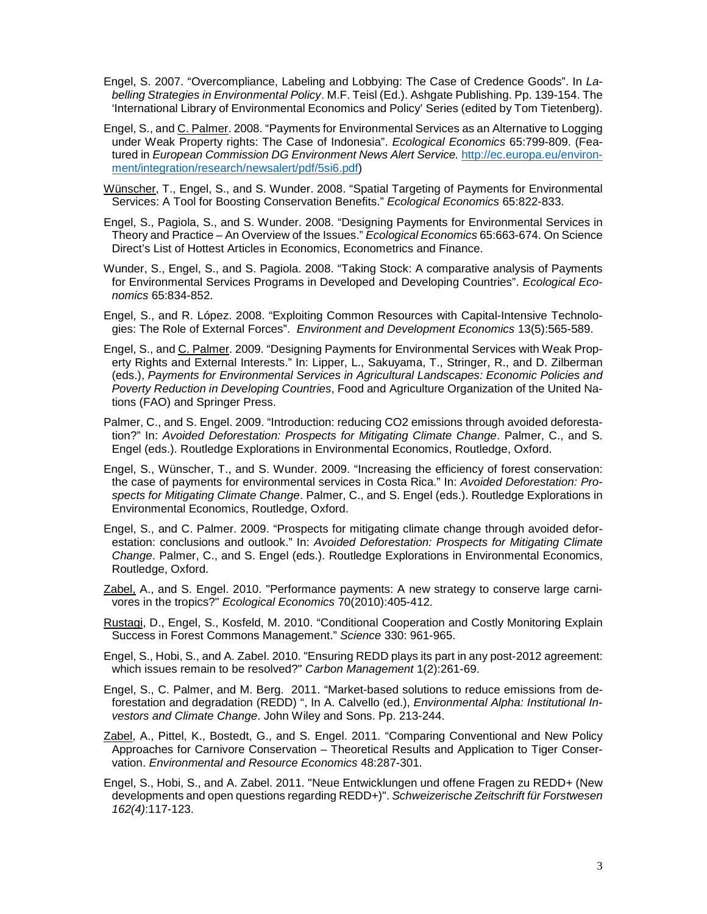- Engel, S. 2007. "Overcompliance, Labeling and Lobbying: The Case of Credence Goods". In *Labelling Strategies in Environmental Policy*. M.F. Teisl (Ed.). Ashgate Publishing. Pp. 139-154. The 'International Library of Environmental Economics and Policy' Series (edited by Tom Tietenberg).
- Engel, S., and C. Palmer. 2008. "Payments for Environmental Services as an Alternative to Logging under Weak Property rights: The Case of Indonesia". *Ecological Economics* 65:799-809. (Featured in *European Commission DG Environment News Alert Service.* [http://ec.europa.eu/environ](http://ec.europa.eu/environment/integration/research/newsalert/pdf/5si6.pdf)[ment/integration/research/newsalert/pdf/5si6.pdf\)](http://ec.europa.eu/environment/integration/research/newsalert/pdf/5si6.pdf)
- Wünscher, T., Engel, S., and S. Wunder. 2008. "Spatial Targeting of Payments for Environmental Services: A Tool for Boosting Conservation Benefits." *Ecological Economics* 65:822-833.
- Engel, S., Pagiola, S., and S. Wunder. 2008. "Designing Payments for Environmental Services in Theory and Practice – An Overview of the Issues." *Ecological Economics* 65:663-674. On Science Direct's List of Hottest Articles in Economics, Econometrics and Finance.
- Wunder, S., Engel, S., and S. Pagiola. 2008. "Taking Stock: A comparative analysis of Payments for Environmental Services Programs in Developed and Developing Countries". *Ecological Economics* 65:834-852.
- Engel, S., and R. López. 2008. "Exploiting Common Resources with Capital-Intensive Technologies: The Role of External Forces". *Environment and Development Economics* 13(5):565-589.
- Engel, S., and C. Palmer. 2009. "Designing Payments for Environmental Services with Weak Property Rights and External Interests." In: Lipper, L., Sakuyama, T., Stringer, R., and D. Zilberman (eds.), *Payments for Environmental Services in Agricultural Landscapes: Economic Policies and Poverty Reduction in Developing Countries*, Food and Agriculture Organization of the United Nations (FAO) and Springer Press.
- Palmer, C., and S. Engel. 2009. "Introduction: reducing CO2 emissions through avoided deforestation?" In: *Avoided Deforestation: Prospects for Mitigating Climate Change*. Palmer, C., and S. Engel (eds.). Routledge Explorations in Environmental Economics, Routledge, Oxford.
- Engel, S., Wünscher, T., and S. Wunder. 2009. "Increasing the efficiency of forest conservation: the case of payments for environmental services in Costa Rica." In: *Avoided Deforestation: Prospects for Mitigating Climate Change*. Palmer, C., and S. Engel (eds.). Routledge Explorations in Environmental Economics, Routledge, Oxford.
- Engel, S., and C. Palmer. 2009. "Prospects for mitigating climate change through avoided deforestation: conclusions and outlook." In: *Avoided Deforestation: Prospects for Mitigating Climate Change*. Palmer, C., and S. Engel (eds.). Routledge Explorations in Environmental Economics, Routledge, Oxford.
- Zabel, A., and S. Engel. 2010. "Performance payments: A new strategy to conserve large carnivores in the tropics?" *Ecological Economics* 70(2010):405-412.
- Rustagi, D., Engel, S., Kosfeld, M. 2010. "Conditional Cooperation and Costly Monitoring Explain Success in Forest Commons Management." *Science* 330: 961-965.
- Engel, S., Hobi, S., and A. Zabel. 2010. "Ensuring REDD plays its part in any post-2012 agreement: which issues remain to be resolved?" *Carbon Management* 1(2):261-69.
- Engel, S., C. Palmer, and M. Berg. 2011. "Market-based solutions to reduce emissions from deforestation and degradation (REDD) ", In A. Calvello (ed.), *Environmental Alpha: Institutional Investors and Climate Change*. John Wiley and Sons. Pp. 213-244.
- Zabel, A., Pittel, K., Bostedt, G., and S. Engel. 2011. "Comparing Conventional and New Policy Approaches for Carnivore Conservation – Theoretical Results and Application to Tiger Conservation. *Environmental and Resource Economics* 48:287-301.
- Engel, S., Hobi, S., and A. Zabel. 2011. "Neue Entwicklungen und offene Fragen zu REDD+ (New developments and open questions regarding REDD+)". *Schweizerische Zeitschrift für Forstwesen 162(4)*:117-123.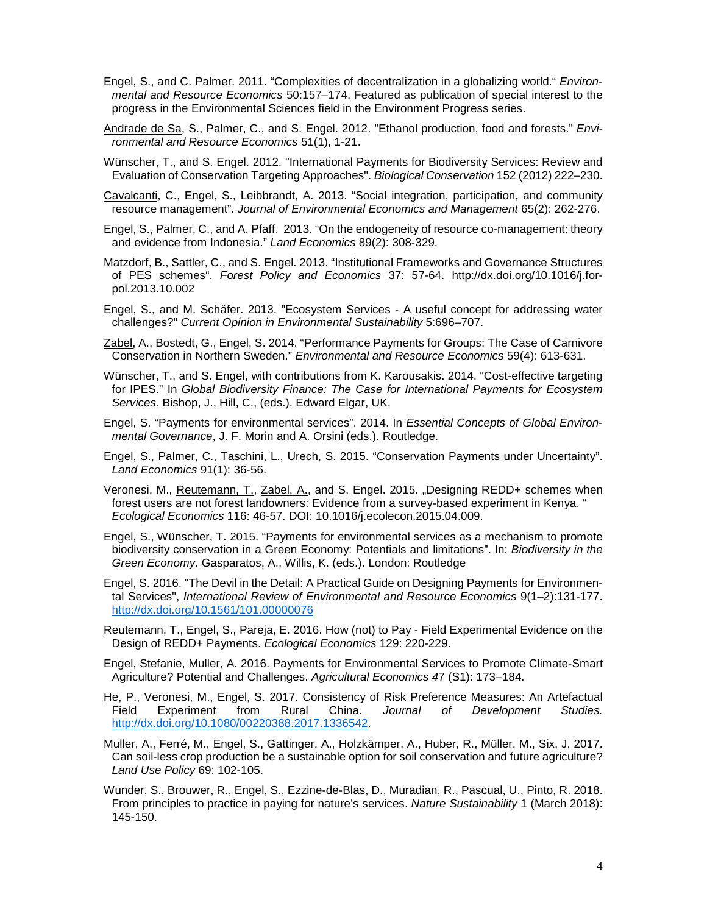- Engel, S., and C. Palmer. 2011. "Complexities of decentralization in a globalizing world." *Environmental and Resource Economics* 50:157–174. Featured as publication of special interest to the progress in the Environmental Sciences field in the Environment Progress series.
- Andrade de Sa, S., Palmer, C., and S. Engel. 2012. "Ethanol production, food and forests." *Environmental and Resource Economics* 51(1), 1-21.
- Wünscher, T., and S. Engel. 2012. "International Payments for Biodiversity Services: Review and Evaluation of Conservation Targeting Approaches". *Biological Conservation* 152 (2012) 222–230.
- Cavalcanti, C., Engel, S., Leibbrandt, A. 2013. "Social integration, participation, and community resource management". *Journal of Environmental Economics and Management* 65(2): 262-276.
- Engel, S., Palmer, C., and A. Pfaff. 2013. "On the endogeneity of resource co-management: theory and evidence from Indonesia." *Land Economics* 89(2): 308-329.
- Matzdorf, B., Sattler, C., and S. Engel. 2013. "Institutional Frameworks and Governance Structures of PES schemes". *Forest Policy and Economics* 37: 57-64. http://dx.doi.org/10.1016/j.forpol.2013.10.002
- Engel, S., and M. Schäfer. 2013. "Ecosystem Services A useful concept for addressing water challenges?" *Current Opinion in Environmental Sustainability* 5:696–707.
- Zabel, A., Bostedt, G., Engel, S. 2014. "Performance Payments for Groups: The Case of Carnivore Conservation in Northern Sweden." *Environmental and Resource Economics* 59(4): 613-631.
- Wünscher, T., and S. Engel, with contributions from K. Karousakis. 2014. "Cost-effective targeting for IPES." In *Global Biodiversity Finance: The Case for International Payments for Ecosystem Services.* Bishop, J., Hill, C., (eds.). Edward Elgar, UK.
- Engel, S. "Payments for environmental services". 2014. In *Essential Concepts of Global Environmental Governance*, J. F. Morin and A. Orsini (eds.). Routledge.
- Engel, S., Palmer, C., Taschini, L., Urech, S. 2015. "Conservation Payments under Uncertainty". *Land Economics* 91(1): 36-56.
- Veronesi, M., Reutemann, T., Zabel, A., and S. Engel. 2015. "Designing REDD+ schemes when forest users are not forest landowners: Evidence from a survey-based experiment in Kenya. " *Ecological Economics* 116: 46-57. DOI: 10.1016/j.ecolecon.2015.04.009.
- Engel, S., Wünscher, T. 2015. "Payments for environmental services as a mechanism to promote biodiversity conservation in a Green Economy: Potentials and limitations". In: *Biodiversity in the Green Economy*. Gasparatos, A., Willis, K. (eds.). London: Routledge
- Engel, S. 2016. "The Devil in the Detail: A Practical Guide on Designing Payments for Environmental Services", *International Review of Environmental and Resource Economics* 9(1–2):131-177. <http://dx.doi.org/10.1561/101.00000076>
- Reutemann, T., Engel, S., Pareja, E. 2016. How (not) to Pay Field Experimental Evidence on the Design of REDD+ Payments. *Ecological Economics* 129: 220-229.
- Engel, Stefanie, Muller, A. 2016. Payments for Environmental Services to Promote Climate-Smart Agriculture? Potential and Challenges. *Agricultural Economics 4*7 (S1): 173–184.
- He, P., Veronesi, M., Engel, S. 2017. Consistency of Risk Preference Measures: An Artefactual<br>Field Experiment from Rural China. Journal of Development Studies. Field Experiment from Rural China. Journal of Development [http://dx.doi.org/10.1080/00220388.2017.1336542.](http://dx.doi.org/10.1080/00220388.2017.1336542)
- Muller, A., Ferré, M., Engel, S., Gattinger, A., Holzkämper, A., Huber, R., Müller, M., Six, J. 2017. Can soil-less crop production be a sustainable option for soil conservation and future agriculture? *Land Use Policy* 69: 102-105.
- Wunder, S., Brouwer, R., Engel, S., Ezzine-de-Blas, D., Muradian, R., Pascual, U., Pinto, R. 2018. From principles to practice in paying for nature's services. *Nature Sustainability* 1 (March 2018): 145-150.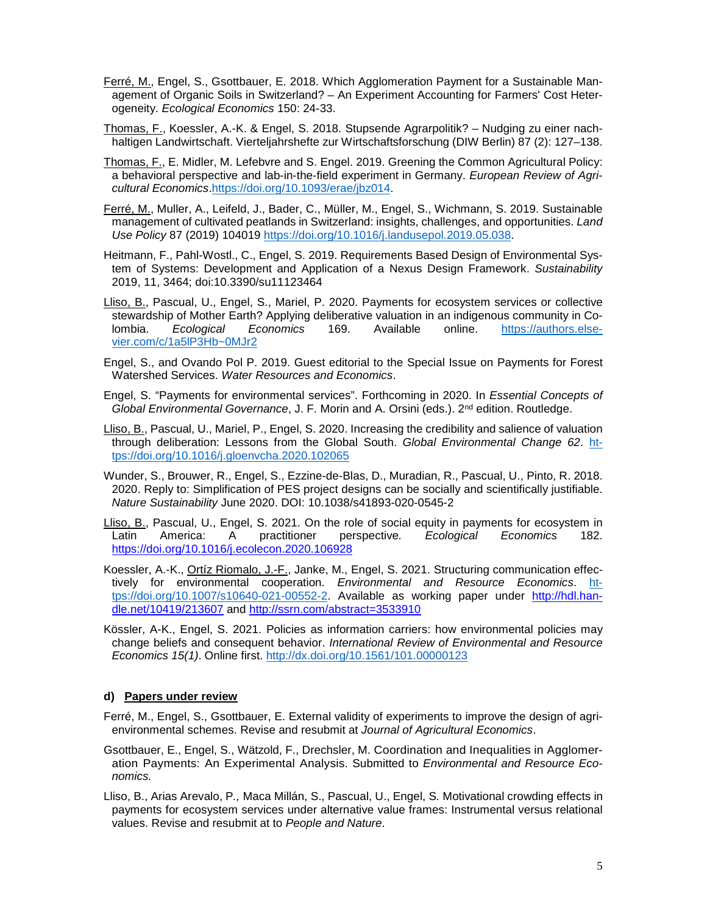- Ferré, M., Engel, S., Gsottbauer, E. 2018. Which Agglomeration Payment for a Sustainable Management of Organic Soils in Switzerland? – An Experiment Accounting for Farmers' Cost Heterogeneity. *Ecological Economics* 150: 24-33.
- Thomas, F., Koessler, A.-K. & Engel, S. 2018. Stupsende Agrarpolitik? Nudging zu einer nachhaltigen Landwirtschaft. Vierteljahrshefte zur Wirtschaftsforschung (DIW Berlin) 87 (2): 127–138.
- Thomas, F., E. Midler, M. Lefebvre and S. Engel. 2019. Greening the Common Agricultural Policy: a behavioral perspective and lab-in-the-field experiment in Germany. *European Review of Agricultural Economics*[.https://doi.org/10.1093/erae/jbz014.](https://doi.org/10.1093/erae/jbz014)
- Ferré, M., Muller, A., Leifeld, J., Bader, C., Müller, M., Engel, S., Wichmann, S. 2019. Sustainable management of cultivated peatlands in Switzerland: insights, challenges, and opportunities. *Land Use Policy* 87 (2019) 104019 [https://doi.org/10.1016/j.landusepol.2019.05.038.](https://doi.org/10.1016/j.landusepol.2019.05.038)
- Heitmann, F., Pahl-Wostl., C., Engel, S. 2019. Requirements Based Design of Environmental System of Systems: Development and Application of a Nexus Design Framework. *Sustainability* 2019, 11, 3464; doi:10.3390/su11123464
- Lliso, B., Pascual, U., Engel, S., Mariel, P. 2020. Payments for ecosystem services or collective stewardship of Mother Earth? Applying deliberative valuation in an indigenous community in Colombia. *Ecological Economics* 169. Available online. [https://authors.else](https://authors.elsevier.com/c/1a5lP3Hb%7E0MJr2)[vier.com/c/1a5lP3Hb~0MJr2](https://authors.elsevier.com/c/1a5lP3Hb%7E0MJr2)
- Engel, S., and Ovando Pol P. 2019. Guest editorial to the Special Issue on Payments for Forest Watershed Services. *Water Resources and Economics*.
- Engel, S. "Payments for environmental services". Forthcoming in 2020. In *Essential Concepts of Global Environmental Governance*, J. F. Morin and A. Orsini (eds.). 2nd edition. Routledge.
- Lliso, B., Pascual, U., Mariel, P., Engel, S. 2020. Increasing the credibility and salience of valuation through deliberation: Lessons from the Global South. *Global Environmental Change 62*. [ht](https://doi.org/10.1016/j.gloenvcha.2020.102065)[tps://doi.org/10.1016/j.gloenvcha.2020.102065](https://doi.org/10.1016/j.gloenvcha.2020.102065)
- Wunder, S., Brouwer, R., Engel, S., Ezzine-de-Blas, D., Muradian, R., Pascual, U., Pinto, R. 2018. 2020. Reply to: Simplification of PES project designs can be socially and scientifically justifiable. *Nature Sustainability* June 2020. DOI: 10.1038/s41893-020-0545-2
- Lliso, B., Pascual, U., Engel, S. 2021. On the role of social equity in payments for ecosystem in Latin America: A practitioner perspective*. Ecological Economics* 182. <https://doi.org/10.1016/j.ecolecon.2020.106928>
- Koessler, A.-K., Ortíz Riomalo, J.-F., Janke, M., Engel, S. 2021. Structuring communication effectively for environmental cooperation. *Environmental and Resource Economics*. [ht](https://doi.org/10.1007/s10640-021-00552-2)[tps://doi.org/10.1007/s10640-021-00552-2.](https://doi.org/10.1007/s10640-021-00552-2) Available as working paper under [http://hdl.han](http://hdl.handle.net/10419/213607)[dle.net/10419/213607](http://hdl.handle.net/10419/213607) and<http://ssrn.com/abstract=3533910>
- Kössler, A-K., Engel, S. 2021. Policies as information carriers: how environmental policies may change beliefs and consequent behavior. *International Review of Environmental and Resource Economics 15(1)*. Online first.<http://dx.doi.org/10.1561/101.00000123>

# **d) Papers under review**

- Ferré, M., Engel, S., Gsottbauer, E. External validity of experiments to improve the design of agrienvironmental schemes. Revise and resubmit at *Journal of Agricultural Economics*.
- Gsottbauer, E., Engel, S., Wätzold, F., Drechsler, M. Coordination and Inequalities in Agglomeration Payments: An Experimental Analysis. Submitted to *Environmental and Resource Economics.*
- Lliso, B., Arias Arevalo, P*.,* Maca Millán, S., Pascual, U., Engel, S*.* Motivational crowding effects in payments for ecosystem services under alternative value frames: Instrumental versus relational values. Revise and resubmit at to *People and Nature*.